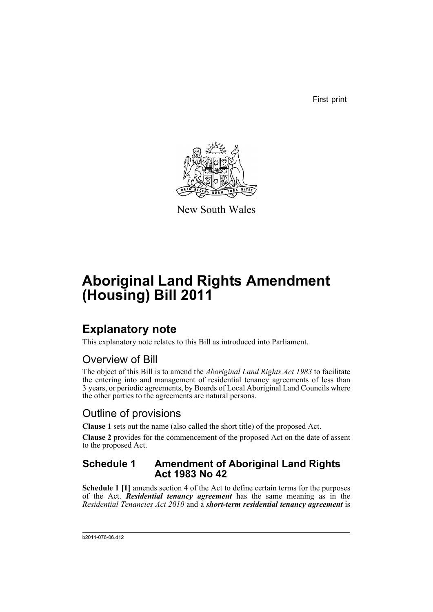First print



New South Wales

# **Aboriginal Land Rights Amendment (Housing) Bill 2011**

## **Explanatory note**

This explanatory note relates to this Bill as introduced into Parliament.

### Overview of Bill

The object of this Bill is to amend the *Aboriginal Land Rights Act 1983* to facilitate the entering into and management of residential tenancy agreements of less than 3 years, or periodic agreements, by Boards of Local Aboriginal Land Councils where the other parties to the agreements are natural persons.

### Outline of provisions

**Clause 1** sets out the name (also called the short title) of the proposed Act.

**Clause 2** provides for the commencement of the proposed Act on the date of assent to the proposed Act.

#### **Schedule 1 Amendment of Aboriginal Land Rights Act 1983 No 42**

**Schedule 1 [1]** amends section 4 of the Act to define certain terms for the purposes of the Act. *Residential tenancy agreement* has the same meaning as in the *Residential Tenancies Act 2010* and a *short-term residential tenancy agreement* is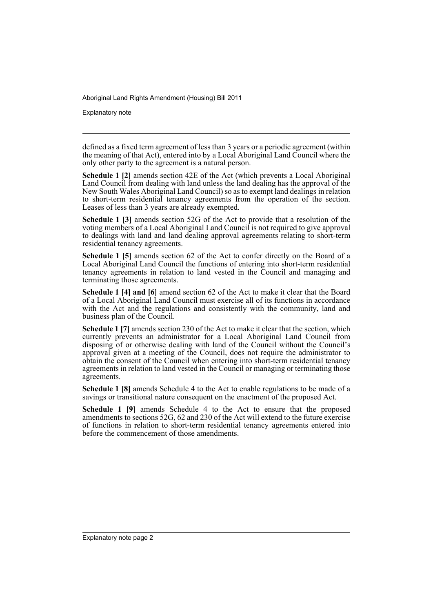Explanatory note

defined as a fixed term agreement of less than 3 years or a periodic agreement (within the meaning of that Act), entered into by a Local Aboriginal Land Council where the only other party to the agreement is a natural person.

**Schedule 1 [2]** amends section 42E of the Act (which prevents a Local Aboriginal Land Council from dealing with land unless the land dealing has the approval of the New South Wales Aboriginal Land Council) so as to exempt land dealings in relation to short-term residential tenancy agreements from the operation of the section. Leases of less than 3 years are already exempted.

**Schedule 1 [3]** amends section 52G of the Act to provide that a resolution of the voting members of a Local Aboriginal Land Council is not required to give approval to dealings with land and land dealing approval agreements relating to short-term residential tenancy agreements.

**Schedule 1 [5]** amends section 62 of the Act to confer directly on the Board of a Local Aboriginal Land Council the functions of entering into short-term residential tenancy agreements in relation to land vested in the Council and managing and terminating those agreements.

**Schedule 1 [4] and [6]** amend section 62 of the Act to make it clear that the Board of a Local Aboriginal Land Council must exercise all of its functions in accordance with the Act and the regulations and consistently with the community, land and business plan of the Council.

**Schedule 1 [7]** amends section 230 of the Act to make it clear that the section, which currently prevents an administrator for a Local Aboriginal Land Council from disposing of or otherwise dealing with land of the Council without the Council's approval given at a meeting of the Council, does not require the administrator to obtain the consent of the Council when entering into short-term residential tenancy agreements in relation to land vested in the Council or managing or terminating those agreements.

**Schedule 1 [8]** amends Schedule 4 to the Act to enable regulations to be made of a savings or transitional nature consequent on the enactment of the proposed Act.

**Schedule 1 [9]** amends Schedule 4 to the Act to ensure that the proposed amendments to sections 52G, 62 and 230 of the Act will extend to the future exercise of functions in relation to short-term residential tenancy agreements entered into before the commencement of those amendments.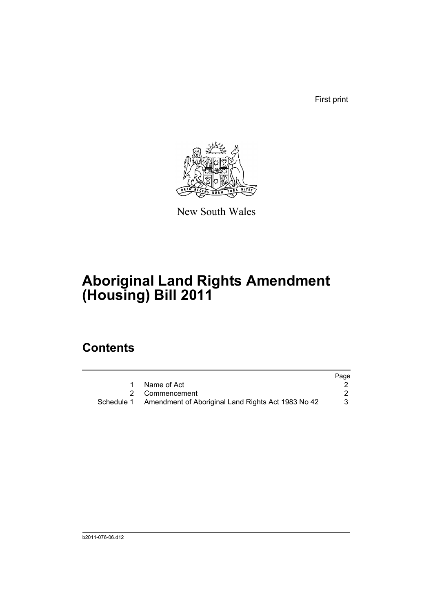First print



New South Wales

# **Aboriginal Land Rights Amendment (Housing) Bill 2011**

## **Contents**

|                                                               | Page |
|---------------------------------------------------------------|------|
| Name of Act                                                   |      |
| 2 Commencement                                                |      |
| Schedule 1 Amendment of Aboriginal Land Rights Act 1983 No 42 |      |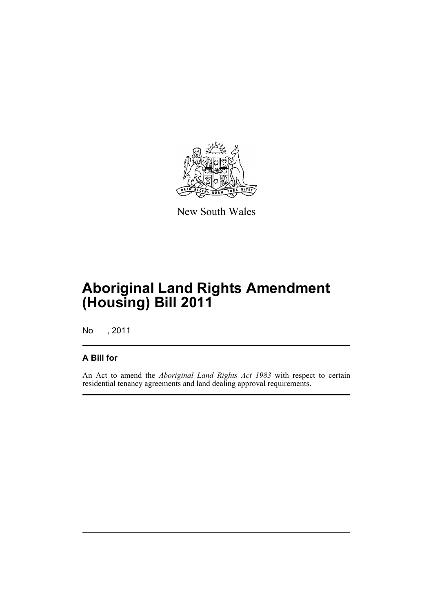

New South Wales

## **Aboriginal Land Rights Amendment (Housing) Bill 2011**

No , 2011

#### **A Bill for**

An Act to amend the *Aboriginal Land Rights Act 1983* with respect to certain residential tenancy agreements and land dealing approval requirements.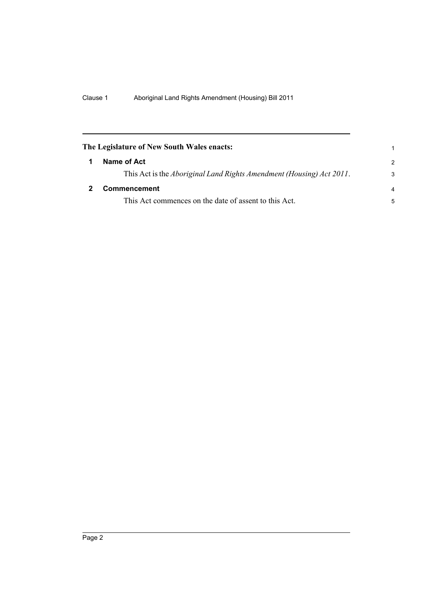<span id="page-5-1"></span><span id="page-5-0"></span>

| The Legislature of New South Wales enacts:                                   |                |
|------------------------------------------------------------------------------|----------------|
| Name of Act                                                                  | $\mathcal{P}$  |
| This Act is the <i>Aboriginal Land Rights Amendment (Housing) Act 2011</i> . | 3              |
| Commencement                                                                 | $\overline{a}$ |
| This Act commences on the date of assent to this Act.                        | 5              |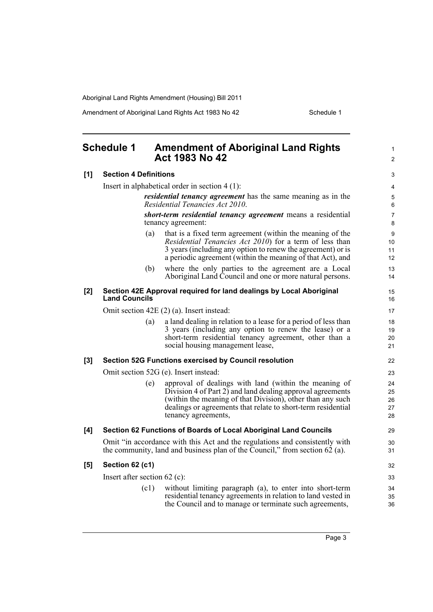Amendment of Aboriginal Land Rights Act 1983 No 42 Schedule 1

<span id="page-6-0"></span>

|     | <b>Schedule 1</b>              | <b>Amendment of Aboriginal Land Rights</b><br><b>Act 1983 No 42</b>                                                                                                                                                                                                                             | $\mathbf{1}$<br>$\overline{2}$ |
|-----|--------------------------------|-------------------------------------------------------------------------------------------------------------------------------------------------------------------------------------------------------------------------------------------------------------------------------------------------|--------------------------------|
| [1] | <b>Section 4 Definitions</b>   |                                                                                                                                                                                                                                                                                                 | 3                              |
|     |                                | Insert in alphabetical order in section $4(1)$ :                                                                                                                                                                                                                                                | 4                              |
|     |                                | <i>residential tenancy agreement</i> has the same meaning as in the<br>Residential Tenancies Act 2010.                                                                                                                                                                                          | 5<br>6                         |
|     |                                | short-term residential tenancy agreement means a residential<br>tenancy agreement:                                                                                                                                                                                                              | $\overline{7}$<br>8            |
|     | (a)                            | that is a fixed term agreement (within the meaning of the<br>Residential Tenancies Act 2010) for a term of less than<br>3 years (including any option to renew the agreement) or is<br>a periodic agreement (within the meaning of that Act), and                                               | 9<br>10<br>11<br>12            |
|     | (b)                            | where the only parties to the agreement are a Local<br>Aboriginal Land Council and one or more natural persons.                                                                                                                                                                                 | 13<br>14                       |
| [2] | <b>Land Councils</b>           | Section 42E Approval required for land dealings by Local Aboriginal                                                                                                                                                                                                                             | 15<br>16                       |
|     |                                | Omit section $42E(2)$ (a). Insert instead:                                                                                                                                                                                                                                                      | 17                             |
|     | (a)                            | a land dealing in relation to a lease for a period of less than<br>3 years (including any option to renew the lease) or a<br>short-term residential tenancy agreement, other than a<br>social housing management lease,                                                                         | 18<br>19<br>20<br>21           |
| [3] |                                | <b>Section 52G Functions exercised by Council resolution</b>                                                                                                                                                                                                                                    | 22                             |
|     |                                | Omit section 52G (e). Insert instead:                                                                                                                                                                                                                                                           | 23                             |
|     | (e)                            | approval of dealings with land (within the meaning of<br>$\overrightarrow{Div}$ Division 4 of Part 2) and land dealing approval agreements<br>(within the meaning of that Division), other than any such<br>dealings or agreements that relate to short-term residential<br>tenancy agreements, | 24<br>25<br>26<br>27<br>28     |
| [4] |                                | Section 62 Functions of Boards of Local Aboriginal Land Councils                                                                                                                                                                                                                                | 29                             |
|     |                                | Omit "in accordance with this Act and the regulations and consistently with<br>the community, land and business plan of the Council," from section $62$ (a).                                                                                                                                    | 30<br>31                       |
| [5] | Section 62 (c1)                |                                                                                                                                                                                                                                                                                                 | 32                             |
|     | Insert after section $62$ (c): |                                                                                                                                                                                                                                                                                                 | 33                             |
|     | (c1)                           | without limiting paragraph (a), to enter into short-term<br>residential tenancy agreements in relation to land vested in<br>the Council and to manage or terminate such agreements,                                                                                                             | 34<br>35<br>36                 |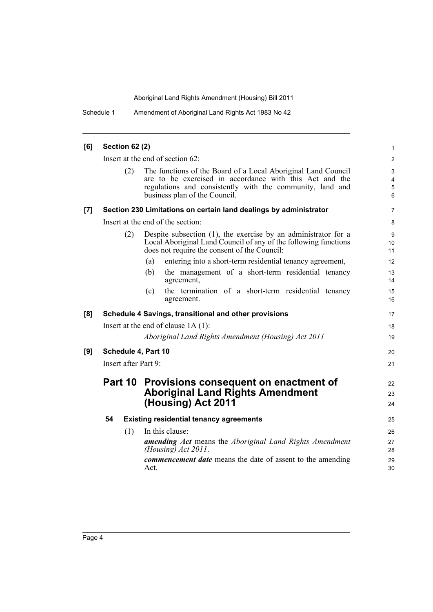Schedule 1 Amendment of Aboriginal Land Rights Act 1983 No 42

| [6]   | <b>Section 62 (2)</b> |                                                                                                                                                                                                                        | 1                                      |
|-------|-----------------------|------------------------------------------------------------------------------------------------------------------------------------------------------------------------------------------------------------------------|----------------------------------------|
|       |                       | Insert at the end of section 62:                                                                                                                                                                                       | $\overline{2}$                         |
|       | (2)                   | The functions of the Board of a Local Aboriginal Land Council<br>are to be exercised in accordance with this Act and the<br>regulations and consistently with the community, land and<br>business plan of the Council. | 3<br>$\overline{4}$<br>$\sqrt{5}$<br>6 |
| $[7]$ |                       | Section 230 Limitations on certain land dealings by administrator                                                                                                                                                      | $\overline{7}$                         |
|       |                       | Insert at the end of the section:                                                                                                                                                                                      | 8                                      |
|       | (2)                   | Despite subsection $(1)$ , the exercise by an administrator for a<br>Local Aboriginal Land Council of any of the following functions<br>does not require the consent of the Council:                                   | 9<br>10<br>11                          |
|       |                       | entering into a short-term residential tenancy agreement,<br>(a)                                                                                                                                                       | 12                                     |
|       |                       | the management of a short-term residential tenancy<br>(b)<br>agreement,                                                                                                                                                | 13<br>14                               |
|       |                       | the termination of a short-term residential tenancy<br>(c)<br>agreement.                                                                                                                                               | 15<br>16                               |
| [8]   |                       | Schedule 4 Savings, transitional and other provisions                                                                                                                                                                  | 17                                     |
|       |                       | Insert at the end of clause $1A(1)$ :                                                                                                                                                                                  | 18                                     |
|       |                       | Aboriginal Land Rights Amendment (Housing) Act 2011                                                                                                                                                                    | 19                                     |
| [9]   | Schedule 4, Part 10   |                                                                                                                                                                                                                        | 20                                     |
|       | Insert after Part 9:  |                                                                                                                                                                                                                        | 21                                     |
|       |                       | Part 10 Provisions consequent on enactment of<br><b>Aboriginal Land Rights Amendment</b><br>(Housing) Act 2011                                                                                                         | 22<br>23<br>24                         |
|       | 54                    | <b>Existing residential tenancy agreements</b>                                                                                                                                                                         | 25                                     |
|       | (1)                   | In this clause:                                                                                                                                                                                                        | 26                                     |
|       |                       | <b>amending Act</b> means the Aboriginal Land Rights Amendment<br>(Housing) $Act 2011$ .                                                                                                                               | 27<br>28                               |
|       |                       | <b><i>commencement date</i></b> means the date of assent to the amending<br>Act.                                                                                                                                       | 29<br>30                               |